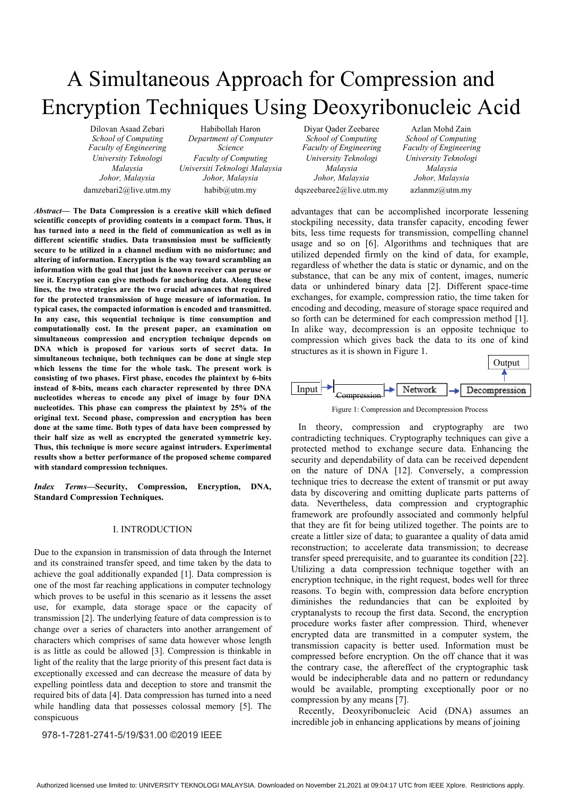# A Simultaneous Approach for Compression and Encryption Techniques Using Deoxyribonucleic Acid

*School of Computing Department of Computer School of Computing School of Computing Faculty of Engineering Science Faculty of Engineering Faculty of Engineering University Teknologi Faculty of Computing University Teknologi University Teknologi Malaysia Universiti Teknologi Malaysia Malaysia Malaysia Johor, Malaysia Johor, Malaysia Johor, Malaysia Johor, Malaysia*  damzebari2@live.utm.my habib@utm.my dqszeebaree2@live.utm.my azlanmz@utm.my

*Abstract—* **The Data Compression is a creative skill which defined scientific concepts of providing contents in a compact form. Thus, it has turned into a need in the field of communication as well as in different scientific studies. Data transmission must be sufficiently secure to be utilized in a channel medium with no misfortune; and altering of information. Encryption is the way toward scrambling an information with the goal that just the known receiver can peruse or see it. Encryption can give methods for anchoring data. Along these lines, the two strategies are the two crucial advances that required for the protected transmission of huge measure of information. In typical cases, the compacted information is encoded and transmitted. In any case, this sequential technique is time consumption and computationally cost. In the present paper, an examination on simultaneous compression and encryption technique depends on DNA which is proposed for various sorts of secret data. In simultaneous technique, both techniques can be done at single step which lessens the time for the whole task. The present work is consisting of two phases. First phase, encodes the plaintext by 6-bits instead of 8-bits, means each character represented by three DNA nucleotides whereas to encode any pixel of image by four DNA nucleotides. This phase can compress the plaintext by 25% of the original text. Second phase, compression and encryption has been done at the same time. Both types of data have been compressed by their half size as well as encrypted the generated symmetric key. Thus, this technique is more secure against intruders. Experimental results show a better performance of the proposed scheme compared with standard compression techniques.** 

*Index Terms—***Security, Compression, Encryption, DNA, Standard Compression Techniques.** 

### I. INTRODUCTION

Due to the expansion in transmission of data through the Internet and its constrained transfer speed, and time taken by the data to achieve the goal additionally expanded [1]. Data compression is one of the most far reaching applications in computer technology which proves to be useful in this scenario as it lessens the asset use, for example, data storage space or the capacity of transmission [2]. The underlying feature of data compression is to change over a series of characters into another arrangement of characters which comprises of same data however whose length is as little as could be allowed [3]. Compression is thinkable in light of the reality that the large priority of this present fact data is exceptionally excessed and can decrease the measure of data by expelling pointless data and deception to store and transmit the required bits of data [4]. Data compression has turned into a need while handling data that possesses colossal memory [5]. The conspicuous

978-1-7281-2741-5/19/\$31.00 ©2019 IEEE

Dilovan Asaad Zebari Habibollah Haron Diyar Qader Zeebaree Azlan Mohd Zain

advantages that can be accomplished incorporate lessening stockpiling necessity, data transfer capacity, encoding fewer bits, less time requests for transmission, compelling channel usage and so on [6]. Algorithms and techniques that are utilized depended firmly on the kind of data, for example, regardless of whether the data is static or dynamic, and on the substance, that can be any mix of content, images, numeric data or unhindered binary data [2]. Different space-time exchanges, for example, compression ratio, the time taken for encoding and decoding, measure of storage space required and so forth can be determined for each compression method [1]. In alike way, decompression is an opposite technique to compression which gives back the data to its one of kind structures as it is shown in Figure 1.



Figure 1: Compression and Decompression Process

In theory, compression and cryptography are two contradicting techniques. Cryptography techniques can give a protected method to exchange secure data. Enhancing the security and dependability of data can be received dependent on the nature of DNA [12]. Conversely, a compression technique tries to decrease the extent of transmit or put away data by discovering and omitting duplicate parts patterns of data. Nevertheless, data compression and cryptographic framework are profoundly associated and commonly helpful that they are fit for being utilized together. The points are to create a littler size of data; to guarantee a quality of data amid reconstruction; to accelerate data transmission; to decrease transfer speed prerequisite, and to guarantee its condition [22]. Utilizing a data compression technique together with an encryption technique, in the right request, bodes well for three reasons. To begin with, compression data before encryption diminishes the redundancies that can be exploited by cryptanalysts to recoup the first data. Second, the encryption procedure works faster after compression. Third, whenever encrypted data are transmitted in a computer system, the transmission capacity is better used. Information must be compressed before encryption. On the off chance that it was the contrary case, the aftereffect of the cryptographic task would be indecipherable data and no pattern or redundancy would be available, prompting exceptionally poor or no compression by any means [7].

Recently, Deoxyribonucleic Acid (DNA) assumes an incredible job in enhancing applications by means of joining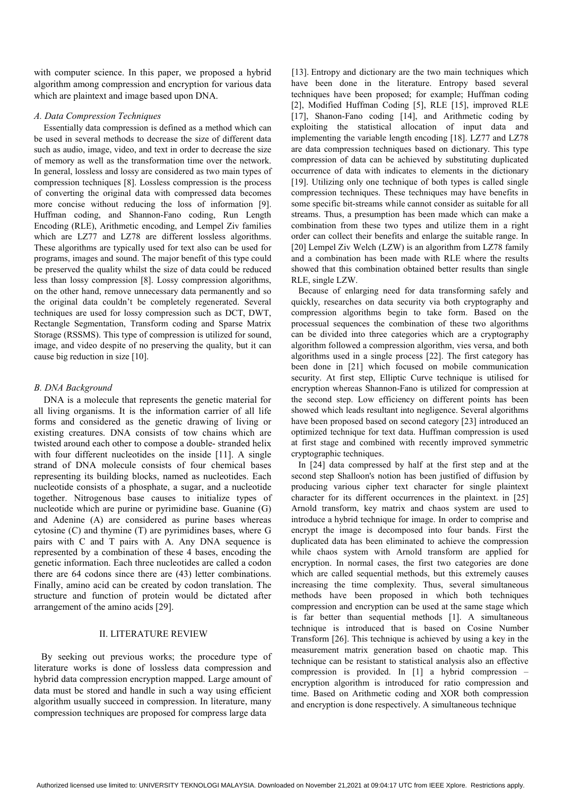with computer science. In this paper, we proposed a hybrid algorithm among compression and encryption for various data which are plaintext and image based upon DNA.

### *A. Data Compression Techniques*

Essentially data compression is defined as a method which can be used in several methods to decrease the size of different data such as audio, image, video, and text in order to decrease the size of memory as well as the transformation time over the network. In general, lossless and lossy are considered as two main types of compression techniques [8]. Lossless compression is the process of converting the original data with compressed data becomes more concise without reducing the loss of information [9]. Huffman coding, and Shannon-Fano coding, Run Length Encoding (RLE), Arithmetic encoding, and Lempel Ziv families which are LZ77 and LZ78 are different lossless algorithms. These algorithms are typically used for text also can be used for programs, images and sound. The major benefit of this type could be preserved the quality whilst the size of data could be reduced less than lossy compression [8]. Lossy compression algorithms, on the other hand, remove unnecessary data permanently and so the original data couldn't be completely regenerated. Several techniques are used for lossy compression such as DCT, DWT, Rectangle Segmentation, Transform coding and Sparse Matrix Storage (RSSMS). This type of compression is utilized for sound, image, and video despite of no preserving the quality, but it can cause big reduction in size [10].

# *B. DNA Background*

DNA is a molecule that represents the genetic material for all living organisms. It is the information carrier of all life forms and considered as the genetic drawing of living or existing creatures. DNA consists of tow chains which are twisted around each other to compose a double- stranded helix with four different nucleotides on the inside [11]. A single strand of DNA molecule consists of four chemical bases representing its building blocks, named as nucleotides. Each nucleotide consists of a phosphate, a sugar, and a nucleotide together. Nitrogenous base causes to initialize types of nucleotide which are purine or pyrimidine base. Guanine (G) and Adenine (A) are considered as purine bases whereas cytosine (C) and thymine (T) are pyrimidines bases, where G pairs with C and T pairs with A. Any DNA sequence is represented by a combination of these 4 bases, encoding the genetic information. Each three nucleotides are called a codon there are 64 codons since there are (43) letter combinations. Finally, amino acid can be created by codon translation. The structure and function of protein would be dictated after arrangement of the amino acids [29].

# II. LITERATURE REVIEW

By seeking out previous works; the procedure type of literature works is done of lossless data compression and hybrid data compression encryption mapped. Large amount of data must be stored and handle in such a way using efficient algorithm usually succeed in compression. In literature, many compression techniques are proposed for compress large data

[13]. Entropy and dictionary are the two main techniques which have been done in the literature. Entropy based several techniques have been proposed; for example; Huffman coding [2], Modified Huffman Coding [5], RLE [15], improved RLE [17], Shanon-Fano coding [14], and Arithmetic coding by exploiting the statistical allocation of input data and implementing the variable length encoding [18]. LZ77 and LZ78 are data compression techniques based on dictionary. This type compression of data can be achieved by substituting duplicated occurrence of data with indicates to elements in the dictionary [19]. Utilizing only one technique of both types is called single compression techniques. These techniques may have benefits in some specific bit-streams while cannot consider as suitable for all streams. Thus, a presumption has been made which can make a combination from these two types and utilize them in a right order can collect their benefits and enlarge the suitable range. In [20] Lempel Ziv Welch (LZW) is an algorithm from LZ78 family and a combination has been made with RLE where the results showed that this combination obtained better results than single RLE, single LZW.

Because of enlarging need for data transforming safely and quickly, researches on data security via both cryptography and compression algorithms begin to take form. Based on the processual sequences the combination of these two algorithms can be divided into three categories which are a cryptography algorithm followed a compression algorithm, vies versa, and both algorithms used in a single process [22]. The first category has been done in [21] which focused on mobile communication security. At first step, Elliptic Curve technique is utilised for encryption whereas Shannon-Fano is utilized for compression at the second step. Low efficiency on different points has been showed which leads resultant into negligence. Several algorithms have been proposed based on second category [23] introduced an optimized technique for text data. Huffman compression is used at first stage and combined with recently improved symmetric cryptographic techniques.

In [24] data compressed by half at the first step and at the second step Shalloon's notion has been justified of diffusion by producing various cipher text character for single plaintext character for its different occurrences in the plaintext. in [25] Arnold transform, key matrix and chaos system are used to introduce a hybrid technique for image. In order to comprise and encrypt the image is decomposed into four bands. First the duplicated data has been eliminated to achieve the compression while chaos system with Arnold transform are applied for encryption. In normal cases, the first two categories are done which are called sequential methods, but this extremely causes increasing the time complexity. Thus, several simultaneous methods have been proposed in which both techniques compression and encryption can be used at the same stage which is far better than sequential methods [1]. A simultaneous technique is introduced that is based on Cosine Number Transform [26]. This technique is achieved by using a key in the measurement matrix generation based on chaotic map. This technique can be resistant to statistical analysis also an effective compression is provided. In [1] a hybrid compression – encryption algorithm is introduced for ratio compression and time. Based on Arithmetic coding and XOR both compression and encryption is done respectively. A simultaneous technique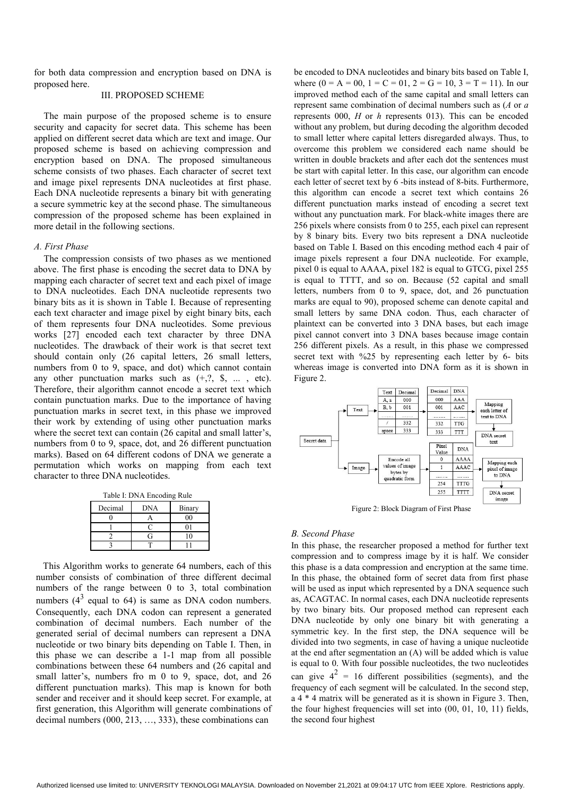for both data compression and encryption based on DNA is proposed here.

# III. PROPOSED SCHEME

The main purpose of the proposed scheme is to ensure security and capacity for secret data. This scheme has been applied on different secret data which are text and image. Our proposed scheme is based on achieving compression and encryption based on DNA. The proposed simultaneous scheme consists of two phases. Each character of secret text and image pixel represents DNA nucleotides at first phase. Each DNA nucleotide represents a binary bit with generating a secure symmetric key at the second phase. The simultaneous compression of the proposed scheme has been explained in more detail in the following sections.

### *A. First Phase*

The compression consists of two phases as we mentioned above. The first phase is encoding the secret data to DNA by mapping each character of secret text and each pixel of image to DNA nucleotides. Each DNA nucleotide represents two binary bits as it is shown in Table I. Because of representing each text character and image pixel by eight binary bits, each of them represents four DNA nucleotides. Some previous works [27] encoded each text character by three DNA nucleotides. The drawback of their work is that secret text should contain only (26 capital letters, 26 small letters, numbers from 0 to 9, space, and dot) which cannot contain any other punctuation marks such as  $(+, ?, \$, ... , etc)$ . Therefore, their algorithm cannot encode a secret text which contain punctuation marks. Due to the importance of having punctuation marks in secret text, in this phase we improved their work by extending of using other punctuation marks where the secret text can contain (26 capital and small latter's, numbers from 0 to 9, space, dot, and 26 different punctuation marks). Based on 64 different codons of DNA we generate a permutation which works on mapping from each text character to three DNA nucleotides.

| Table I: DNA Encoding Rule |  |
|----------------------------|--|
|                            |  |

| Decimal | <b>DNA</b> | Binary |
|---------|------------|--------|
|         |            |        |
|         |            |        |
|         |            |        |
|         |            |        |

This Algorithm works to generate 64 numbers, each of this number consists of combination of three different decimal numbers of the range between 0 to 3, total combination numbers  $(4^3 \text{ equal to } 64)$  is same as DNA codon numbers. Consequently, each DNA codon can represent a generated combination of decimal numbers. Each number of the generated serial of decimal numbers can represent a DNA nucleotide or two binary bits depending on Table I. Then, in this phase we can describe a 1-1 map from all possible combinations between these 64 numbers and (26 capital and small latter's, numbers fro m 0 to 9, space, dot, and 26 different punctuation marks). This map is known for both sender and receiver and it should keep secret. For example, at first generation, this Algorithm will generate combinations of decimal numbers (000, 213, …, 333), these combinations can

be encoded to DNA nucleotides and binary bits based on Table I, where  $(0 = A = 00, 1 = C = 01, 2 = G = 10, 3 = T = 11)$ . In our improved method each of the same capital and small letters can represent same combination of decimal numbers such as (*A* or *a* represents 000, *H* or *h* represents 013). This can be encoded without any problem, but during decoding the algorithm decoded to small letter where capital letters disregarded always. Thus, to overcome this problem we considered each name should be written in double brackets and after each dot the sentences must be start with capital letter. In this case, our algorithm can encode each letter of secret text by 6 -bits instead of 8-bits. Furthermore, this algorithm can encode a secret text which contains 26 different punctuation marks instead of encoding a secret text without any punctuation mark. For black-white images there are 256 pixels where consists from 0 to 255, each pixel can represent by 8 binary bits. Every two bits represent a DNA nucleotide based on Table I. Based on this encoding method each 4 pair of image pixels represent a four DNA nucleotide. For example, pixel 0 is equal to AAAA, pixel 182 is equal to GTCG, pixel 255 is equal to TTTT, and so on. Because (52 capital and small letters, numbers from 0 to 9, space, dot, and 26 punctuation marks are equal to 90), proposed scheme can denote capital and small letters by same DNA codon. Thus, each character of plaintext can be converted into 3 DNA bases, but each image pixel cannot convert into 3 DNA bases because image contain 256 different pixels. As a result, in this phase we compressed secret text with %25 by representing each letter by 6- bits whereas image is converted into DNA form as it is shown in Figure 2.



# *B. Second Phase*

In this phase, the researcher proposed a method for further text compression and to compress image by it is half. We consider this phase is a data compression and encryption at the same time. In this phase, the obtained form of secret data from first phase will be used as input which represented by a DNA sequence such as, ACAGTAC. In normal cases, each DNA nucleotide represents by two binary bits. Our proposed method can represent each DNA nucleotide by only one binary bit with generating a symmetric key. In the first step, the DNA sequence will be divided into two segments, in case of having a unique nucleotide at the end after segmentation an (A) will be added which is value is equal to 0. With four possible nucleotides, the two nucleotides can give  $4^2 = 16$  different possibilities (segments), and the frequency of each segment will be calculated. In the second step,  $a^4 * 4$  matrix will be generated as it is shown in Figure 3. Then, the four highest frequencies will set into (00, 01, 10, 11) fields, the second four highest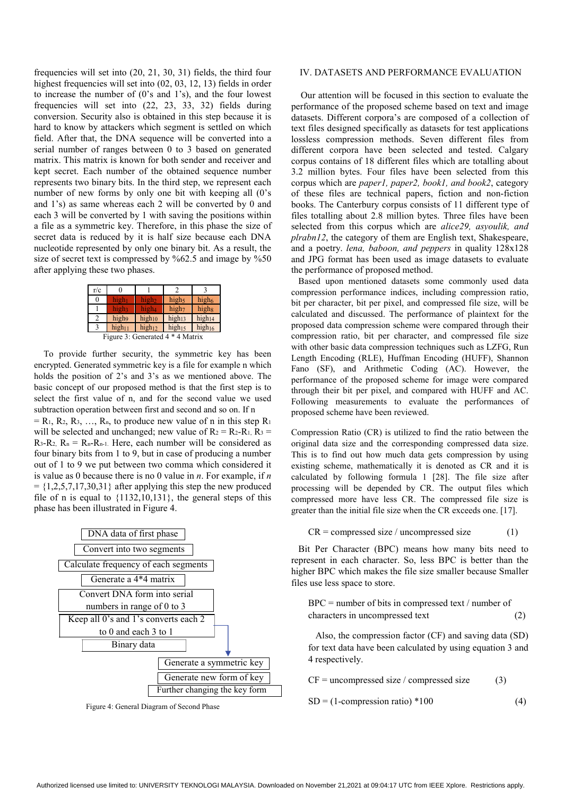frequencies will set into (20, 21, 30, 31) fields, the third four highest frequencies will set into  $(02, 03, 12, 13)$  fields in order to increase the number of (0's and 1's), and the four lowest frequencies will set into (22, 23, 33, 32) fields during conversion. Security also is obtained in this step because it is hard to know by attackers which segment is settled on which field. After that, the DNA sequence will be converted into a serial number of ranges between 0 to 3 based on generated matrix. This matrix is known for both sender and receiver and kept secret. Each number of the obtained sequence number represents two binary bits. In the third step, we represent each number of new forms by only one bit with keeping all  $(0)$ 's and 1's) as same whereas each 2 will be converted by 0 and each 3 will be converted by 1 with saving the positions within a file as a symmetric key. Therefore, in this phase the size of secret data is reduced by it is half size because each DNA nucleotide represented by only one binary bit. As a result, the size of secret text is compressed by %62.5 and image by %50 after applying these two phases.

| r/c                              | 0                  |                    |                    |                    |
|----------------------------------|--------------------|--------------------|--------------------|--------------------|
| 0                                | high <sub>1</sub>  | high <sub>2</sub>  | high <sub>5</sub>  | high <sub>6</sub>  |
|                                  | high3              | high <sub>4</sub>  | high <sub>7</sub>  | highg              |
|                                  | high9              | $high_{10}$        | high <sub>13</sub> | high <sub>14</sub> |
|                                  | high <sub>11</sub> | high <sub>12</sub> | high <sub>15</sub> | high <sub>16</sub> |
| Figure 3: Generated 4 * 4 Matrix |                    |                    |                    |                    |

To provide further security, the symmetric key has been encrypted. Generated symmetric key is a file for example n which holds the position of 2's and 3's as we mentioned above. The basic concept of our proposed method is that the first step is to select the first value of n, and for the second value we used subtraction operation between first and second and so on. If n  $=$  R<sub>1</sub>, R<sub>2</sub>, R<sub>3</sub>, ..., R<sub>n</sub>, to produce new value of n in this step R<sub>1</sub> will be selected and unchanged; new value of  $R_2 = R_2-R_1$ ,  $R_3 =$  $R_3-R_2$ ,  $R_n = R_n-R_{n-1}$ . Here, each number will be considered as four binary bits from 1 to 9, but in case of producing a number out of 1 to 9 we put between two comma which considered it is value as 0 because there is no 0 value in *n*. For example, if *n*  $= \{1,2,5,7,17,30,31\}$  after applying this step the new produced file of n is equal to  $\{1132, 10, 131\}$ , the general steps of this phase has been illustrated in Figure 4.



Figure 4: General Diagram of Second Phase

### IV. DATASETS AND PERFORMANCE EVALUATION

Our attention will be focused in this section to evaluate the performance of the proposed scheme based on text and image datasets. Different corpora's are composed of a collection of text files designed specifically as datasets for test applications lossless compression methods. Seven different files from different corpora have been selected and tested. Calgary corpus contains of 18 different files which are totalling about 3.2 million bytes. Four files have been selected from this corpus which are *paper1, paper2, book1, and book2*, category of these files are technical papers, fiction and non-fiction books. The Canterbury corpus consists of 11 different type of files totalling about 2.8 million bytes. Three files have been selected from this corpus which are *alice29, asyoulik, and plrabn12*, the category of them are English text, Shakespeare, and a poetry. *lena, baboon, and peppers* in quality 128x128 and JPG format has been used as image datasets to evaluate the performance of proposed method.

Based upon mentioned datasets some commonly used data compression performance indices, including compression ratio, bit per character, bit per pixel, and compressed file size, will be calculated and discussed. The performance of plaintext for the proposed data compression scheme were compared through their compression ratio, bit per character, and compressed file size with other basic data compression techniques such as LZFG, Run Length Encoding (RLE), Huffman Encoding (HUFF), Shannon Fano (SF), and Arithmetic Coding (AC). However, the performance of the proposed scheme for image were compared through their bit per pixel, and compared with HUFF and AC. Following measurements to evaluate the performances of proposed scheme have been reviewed.

Compression Ratio (CR) is utilized to find the ratio between the original data size and the corresponding compressed data size. This is to find out how much data gets compression by using existing scheme, mathematically it is denoted as CR and it is calculated by following formula 1 [28]. The file size after processing will be depended by CR. The output files which compressed more have less CR. The compressed file size is greater than the initial file size when the CR exceeds one. [17].

$$
CR = compressed size / uncompressed size \t(1)
$$

Bit Per Character (BPC) means how many bits need to represent in each character. So, less BPC is better than the higher BPC which makes the file size smaller because Smaller files use less space to store.

$$
BPC = number of bits in compressed text / number of characters in uncompressed text \t(2)
$$

Also, the compression factor (CF) and saving data (SD) for text data have been calculated by using equation 3 and 4 respectively.

 $CF =$  uncompressed size / compressed size (3)

$$
SD = (1-compression ratio) * 100
$$
 (4)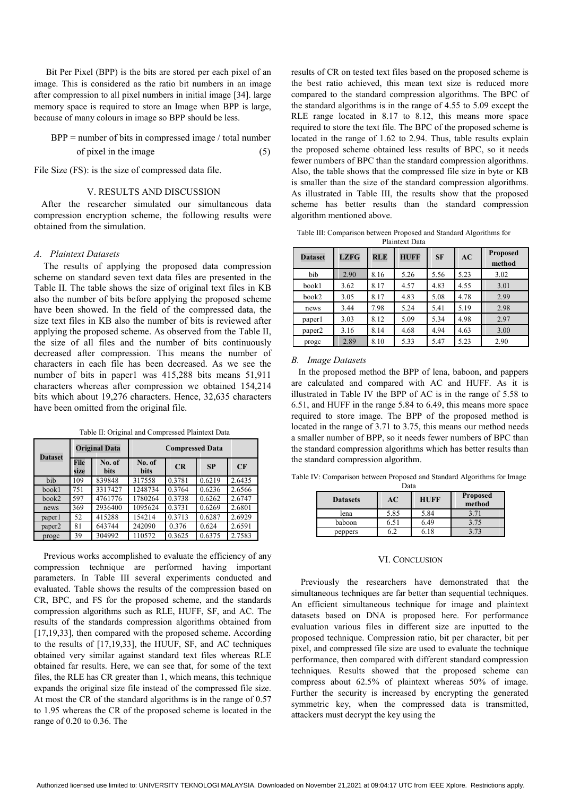Bit Per Pixel (BPP) is the bits are stored per each pixel of an image. This is considered as the ratio bit numbers in an image after compression to all pixel numbers in initial image [34]. large memory space is required to store an Image when BPP is large, because of many colours in image so BPP should be less.

 $BPP =$  number of bits in compressed image / total number of pixel in the image  $(5)$ 

File Size (FS): is the size of compressed data file.

# V. RESULTS AND DISCUSSION

After the researcher simulated our simultaneous data compression encryption scheme, the following results were obtained from the simulation.

### *A. Plaintext Datasets*

The results of applying the proposed data compression scheme on standard seven text data files are presented in the Table II. The table shows the size of original text files in KB also the number of bits before applying the proposed scheme have been showed. In the field of the compressed data, the size text files in KB also the number of bits is reviewed after applying the proposed scheme. As observed from the Table II, the size of all files and the number of bits continuously decreased after compression. This means the number of characters in each file has been decreased. As we see the number of bits in paper1 was 415,288 bits means 51,911 characters whereas after compression we obtained 154,214 bits which about 19,276 characters. Hence, 32,635 characters have been omitted from the original file.

| <b>Dataset</b>     |                     | <b>Original Data</b>  | <b>Compressed Data</b> |        |           |        |
|--------------------|---------------------|-----------------------|------------------------|--------|-----------|--------|
|                    | <b>File</b><br>size | No. of<br><b>bits</b> | No. of<br><b>bits</b>  | CR     | <b>SP</b> | CF     |
| bib                | 109                 | 839848                | 317558                 | 0.3781 | 0.6219    | 2.6435 |
| book1              | 751                 | 3317427               | 1248734                | 0.3764 | 0.6236    | 2.6566 |
| book2              | 597                 | 4761776               | 1780264                | 0.3738 | 0.6262    | 2.6747 |
| news               | 369                 | 2936400               | 1095624                | 0.3731 | 0.6269    | 2.6801 |
| paper1             | 52                  | 415288                | 154214                 | 0.3713 | 0.6287    | 2.6929 |
| paper <sub>2</sub> | 81                  | 643744                | 242090                 | 0.376  | 0.624     | 2.6591 |
| progc              | 39                  | 304992                | 110572                 | 0.3625 | 0.6375    | 2.7583 |

Table II: Original and Compressed Plaintext Data

Previous works accomplished to evaluate the efficiency of any compression technique are performed having important parameters. In Table III several experiments conducted and evaluated. Table shows the results of the compression based on CR, BPC, and FS for the proposed scheme, and the standards compression algorithms such as RLE, HUFF, SF, and AC. The results of the standards compression algorithms obtained from [17,19,33], then compared with the proposed scheme. According to the results of [17,19,33], the HUUF, SF, and AC techniques obtained very similar against standard text files whereas RLE obtained far results. Here, we can see that, for some of the text files, the RLE has CR greater than 1, which means, this technique expands the original size file instead of the compressed file size. At most the CR of the standard algorithms is in the range of 0.57 to 1.95 whereas the CR of the proposed scheme is located in the range of 0.20 to 0.36. The

results of CR on tested text files based on the proposed scheme is the best ratio achieved, this mean text size is reduced more compared to the standard compression algorithms. The BPC of the standard algorithms is in the range of 4.55 to 5.09 except the RLE range located in 8.17 to 8.12, this means more space required to store the text file. The BPC of the proposed scheme is located in the range of 1.62 to 2.94. Thus, table results explain the proposed scheme obtained less results of BPC, so it needs fewer numbers of BPC than the standard compression algorithms. Also, the table shows that the compressed file size in byte or KB is smaller than the size of the standard compression algorithms. As illustrated in Table III, the results show that the proposed scheme has better results than the standard compression algorithm mentioned above.

| Table III: Comparison between Proposed and Standard Algorithms for |                |  |  |
|--------------------------------------------------------------------|----------------|--|--|
|                                                                    | Plaintext Data |  |  |

| <b>Dataset</b> | <b>LZFG</b> | <b>RLE</b> | <b>HUFF</b> | <b>SF</b> | AC   | Proposed<br>method |
|----------------|-------------|------------|-------------|-----------|------|--------------------|
| bib            | 2.90        | 8.16       | 5.26        | 5.56      | 5.23 | 3.02               |
| book1          | 3.62        | 8.17       | 4.57        | 4.83      | 4.55 | 3.01               |
| book2          | 3.05        | 8.17       | 4.83        | 5.08      | 4.78 | 2.99               |
| news           | 3.44        | 7.98       | 5.24        | 5.41      | 5.19 | 2.98               |
| paper1         | 3.03        | 8.12       | 5.09        | 5.34      | 4.98 | 2.97               |
| paper2         | 3.16        | 8.14       | 4.68        | 4.94      | 4.63 | 3.00               |
| proge          | 2.89        | 8.10       | 5.33        | 5.47      | 5.23 | 2.90               |

### *B. Image Datasets*

In the proposed method the BPP of lena, baboon, and pappers are calculated and compared with AC and HUFF. As it is illustrated in Table IV the BPP of AC is in the range of 5.58 to 6.51, and HUFF in the range 5.84 to 6.49, this means more space required to store image. The BPP of the proposed method is located in the range of 3.71 to 3.75, this means our method needs a smaller number of BPP, so it needs fewer numbers of BPC than the standard compression algorithms which has better results than the standard compression algorithm.

Table IV: Comparison between Proposed and Standard Algorithms for Image Data

| vaca            |      |             |                           |  |  |
|-----------------|------|-------------|---------------------------|--|--|
| <b>Datasets</b> | АC   | <b>HUFF</b> | <b>Proposed</b><br>method |  |  |
| lena            | 5.85 | 5.84        | 3.71                      |  |  |
| baboon          | 6.51 | 6.49        | 3.75                      |  |  |
| peppers         |      |             |                           |  |  |

#### VI. CONCLUSION

Previously the researchers have demonstrated that the simultaneous techniques are far better than sequential techniques. An efficient simultaneous technique for image and plaintext datasets based on DNA is proposed here. For performance evaluation various files in different size are inputted to the proposed technique. Compression ratio, bit per character, bit per pixel, and compressed file size are used to evaluate the technique performance, then compared with different standard compression techniques. Results showed that the proposed scheme can compress about 62.5% of plaintext whereas 50% of image. Further the security is increased by encrypting the generated symmetric key, when the compressed data is transmitted, attackers must decrypt the key using the